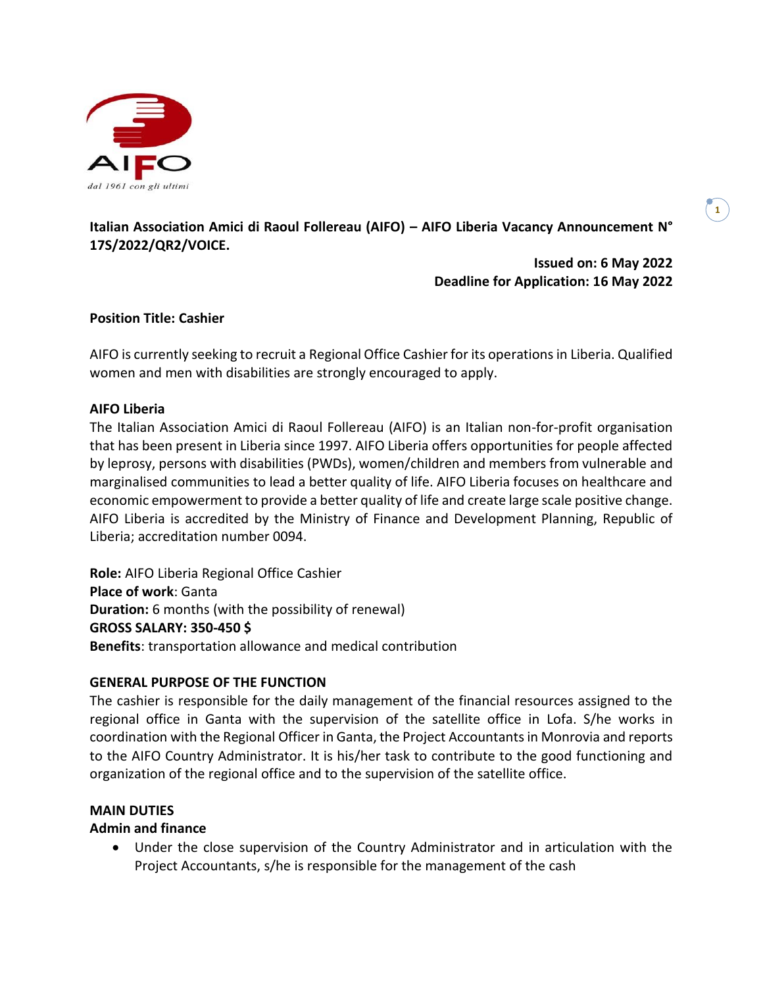

# **Italian Association Amici di Raoul Follereau (AIFO) – AIFO Liberia Vacancy Announcement N° 17S/2022/QR2/VOICE.**

**Issued on: 6 May 2022 Deadline for Application: 16 May 2022**

# **Position Title: Cashier**

AIFO is currently seeking to recruit a Regional Office Cashier for its operations in Liberia. Qualified women and men with disabilities are strongly encouraged to apply.

## **AIFO Liberia**

The Italian Association Amici di Raoul Follereau (AIFO) is an Italian non-for-profit organisation that has been present in Liberia since 1997. AIFO Liberia offers opportunities for people affected by leprosy, persons with disabilities (PWDs), women/children and members from vulnerable and marginalised communities to lead a better quality of life. AIFO Liberia focuses on healthcare and economic empowerment to provide a better quality of life and create large scale positive change. AIFO Liberia is accredited by the Ministry of Finance and Development Planning, Republic of Liberia; accreditation number 0094.

**Role:** AIFO Liberia Regional Office Cashier **Place of work**: Ganta **Duration:** 6 months (with the possibility of renewal) **GROSS SALARY: 350-450 \$ Benefits**: transportation allowance and medical contribution

## **GENERAL PURPOSE OF THE FUNCTION**

The cashier is responsible for the daily management of the financial resources assigned to the regional office in Ganta with the supervision of the satellite office in Lofa. S/he works in coordination with the Regional Officer in Ganta, the Project Accountantsin Monrovia and reports to the AIFO Country Administrator. It is his/her task to contribute to the good functioning and organization of the regional office and to the supervision of the satellite office.

#### **MAIN DUTIES**

## **Admin and finance**

• Under the close supervision of the Country Administrator and in articulation with the Project Accountants, s/he is responsible for the management of the cash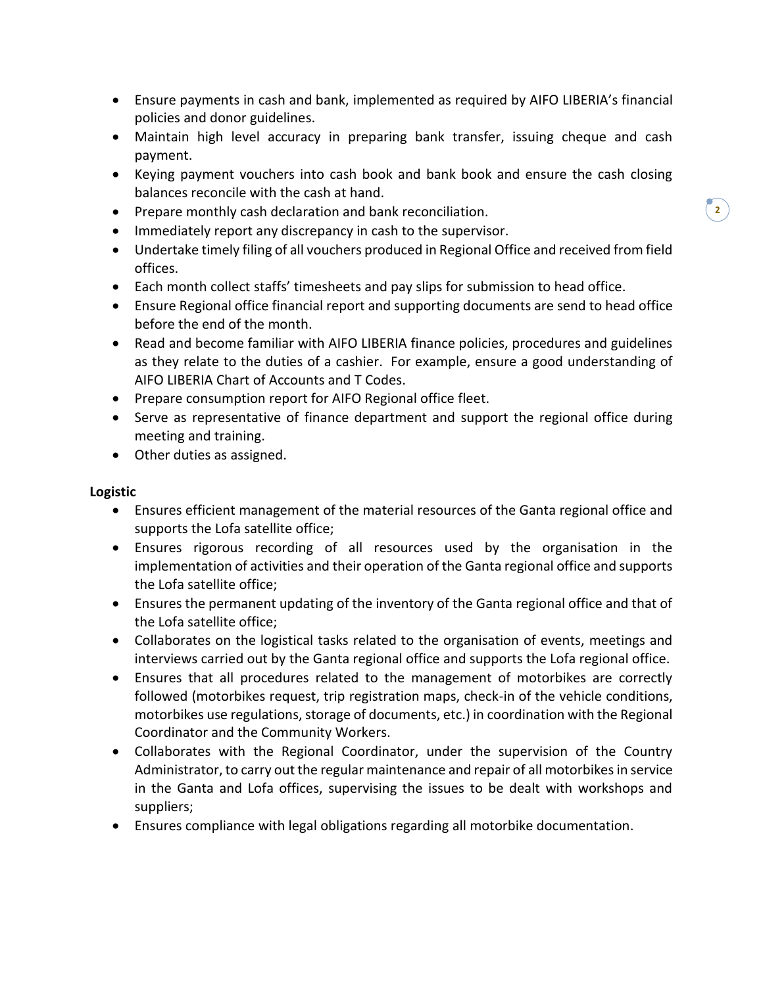- Ensure payments in cash and bank, implemented as required by AIFO LIBERIA's financial policies and donor guidelines.
- Maintain high level accuracy in preparing bank transfer, issuing cheque and cash payment.
- Keying payment vouchers into cash book and bank book and ensure the cash closing balances reconcile with the cash at hand.
- Prepare monthly cash declaration and bank reconciliation.
- Immediately report any discrepancy in cash to the supervisor.
- Undertake timely filing of all vouchers produced in Regional Office and received from field offices.
- Each month collect staffs' timesheets and pay slips for submission to head office.
- Ensure Regional office financial report and supporting documents are send to head office before the end of the month.
- Read and become familiar with AIFO LIBERIA finance policies, procedures and guidelines as they relate to the duties of a cashier. For example, ensure a good understanding of AIFO LIBERIA Chart of Accounts and T Codes.
- Prepare consumption report for AIFO Regional office fleet.
- Serve as representative of finance department and support the regional office during meeting and training.
- Other duties as assigned.

#### **Logistic**

- Ensures efficient management of the material resources of the Ganta regional office and supports the Lofa satellite office;
- Ensures rigorous recording of all resources used by the organisation in the implementation of activities and their operation of the Ganta regional office and supports the Lofa satellite office;
- Ensures the permanent updating of the inventory of the Ganta regional office and that of the Lofa satellite office;
- Collaborates on the logistical tasks related to the organisation of events, meetings and interviews carried out by the Ganta regional office and supports the Lofa regional office.
- Ensures that all procedures related to the management of motorbikes are correctly followed (motorbikes request, trip registration maps, check-in of the vehicle conditions, motorbikes use regulations, storage of documents, etc.) in coordination with the Regional Coordinator and the Community Workers.
- Collaborates with the Regional Coordinator, under the supervision of the Country Administrator, to carry out the regular maintenance and repair of all motorbikes in service in the Ganta and Lofa offices, supervising the issues to be dealt with workshops and suppliers;
- Ensures compliance with legal obligations regarding all motorbike documentation.